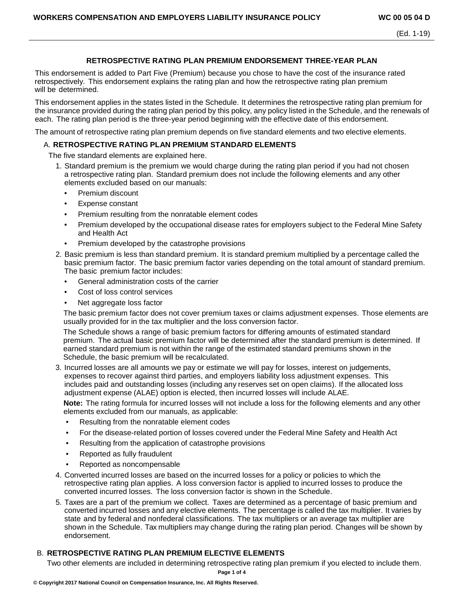# **RETROSPECTIVE RATING PLAN PREMIUM ENDORSEMENT THREE-YEAR PLAN**

This endorsement is added to Part Five (Premium) because you chose to have the cost of the insurance rated retrospectively. This endorsement explains the rating plan and how the retrospective rating plan premium will be determined.

This endorsement applies in the states listed in the Schedule. It determines the retrospective rating plan premium for the insurance provided during the rating plan period by this policy, any policy listed in the Schedule, and the renewals of each. The rating plan period is the three-year period beginning with the effective date of this endorsement.

The amount of retrospective rating plan premium depends on five standard elements and two elective elements.

## A. **RETROSPECTIVE RATING PLAN PREMIUM STANDARD ELEMENTS**

The five standard elements are explained here.

- 1. Standard premium is the premium we would charge during the rating plan period if you had not chosen a retrospective rating plan. Standard premium does not include the following elements and any other elements excluded based on our manuals:
	- Premium discount
	- Expense constant
	- Premium resulting from the nonratable element codes
	- Premium developed by the occupational disease rates for employers subject to the Federal Mine Safety and Health Act
	- Premium developed by the catastrophe provisions
- 2. Basic premium is less than standard premium. It is standard premium multiplied by a percentage called the basic premium factor. The basic premium factor varies depending on the total amount of standard premium. The basic premium factor includes:
	- General administration costs of the carrier
	- Cost of loss control services
	- Net aggregate loss factor

The basic premium factor does not cover premium taxes or claims adjustment expenses. Those elements are usually provided for in the tax multiplier and the loss conversion factor.

The Schedule shows a range of basic premium factors for differing amounts of estimated standard premium. The actual basic premium factor will be determined after the standard premium is determined. If earned standard premium is not within the range of the estimated standard premiums shown in the Schedule, the basic premium will be recalculated.

3. Incurred losses are all amounts we pay or estimate we will pay for losses, interest on judgements, expenses to recover against third parties, and employers liability loss adjustment expenses. This includes paid and outstanding losses (including any reserves set on open claims). If the allocated loss adjustment expense (ALAE) option is elected, then incurred losses will include ALAE.

**Note:** The rating formula for incurred losses will not include a loss for the following elements and any other elements excluded from our manuals, as applicable:

- Resulting from the nonratable element codes
- For the disease-related portion of losses covered under the Federal Mine Safety and Health Act
- Resulting from the application of catastrophe provisions
- Reported as fully fraudulent
- Reported as noncompensable
- 4. Converted incurred losses are based on the incurred losses for a policy or policies to which the retrospective rating plan applies. A loss conversion factor is applied to incurred losses to produce the converted incurred losses. The loss conversion factor is shown in the Schedule.
- 5. Taxes are a part of the premium we collect. Taxes are determined as a percentage of basic premium and converted incurred losses and any elective elements. The percentage is called the tax multiplier. It varies by state and by federal and nonfederal classifications. The tax multipliers or an average tax multiplier are shown in the Schedule. Tax multipliers may change during the rating plan period. Changes will be shown by endorsement.

# B. **RETROSPECTIVE RATING PLAN PREMIUM ELECTIVE ELEMENTS**

Two other elements are included in determining retrospective rating plan premium if you elected to include them.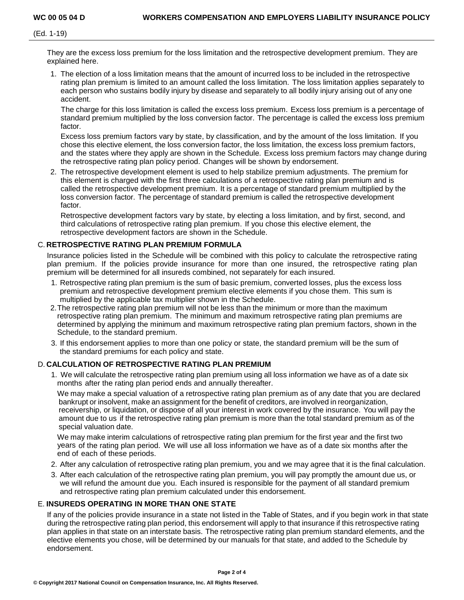(Ed. 1-19)

They are the excess loss premium for the loss limitation and the retrospective development premium. They are explained here.

1. The election of a loss limitation means that the amount of incurred loss to be included in the retrospective rating plan premium is limited to an amount called the loss limitation. The loss limitation applies separately to each person who sustains bodily injury by disease and separately to all bodily injury arising out of any one accident.

The charge for this loss limitation is called the excess loss premium. Excess loss premium is a percentage of standard premium multiplied by the loss conversion factor. The percentage is called the excess loss premium factor.

Excess loss premium factors vary by state, by classification, and by the amount of the loss limitation. If you chose this elective element, the loss conversion factor, the loss limitation, the excess loss premium factors, and the states where they apply are shown in the Schedule. Excess loss premium factors may change during the retrospective rating plan policy period. Changes will be shown by endorsement.

2. The retrospective development element is used to help stabilize premium adjustments. The premium for this element is charged with the first three calculations of a retrospective rating plan premium and is called the retrospective development premium. It is a percentage of standard premium multiplied by the loss conversion factor. The percentage of standard premium is called the retrospective development factor.

Retrospective development factors vary by state, by electing a loss limitation, and by first, second, and third calculations of retrospective rating plan premium. If you chose this elective element, the retrospective development factors are shown in the Schedule.

## C. **RETROSPECTIVE RATING PLAN PREMIUM FORMULA**

Insurance policies listed in the Schedule will be combined with this policy to calculate the retrospective rating plan premium. If the policies provide insurance for more than one insured, the retrospective rating plan premium will be determined for all insureds combined, not separately for each insured.

- 1. Retrospective rating plan premium is the sum of basic premium, converted losses, plus the excess loss premium and retrospective development premium elective elements if you chose them. This sum is multiplied by the applicable tax multiplier shown in the Schedule.
- 2.The retrospective rating plan premium will not be less than the minimum or more than the maximum retrospective rating plan premium. The minimum and maximum retrospective rating plan premiums are determined by applying the minimum and maximum retrospective rating plan premium factors, shown in the Schedule, to the standard premium.
- 3. If this endorsement applies to more than one policy or state, the standard premium will be the sum of the standard premiums for each policy and state.

## D. **CALCULATION OF RETROSPECTIVE RATING PLAN PREMIUM**

1. We will calculate the retrospective rating plan premium using all loss information we have as of a date six months after the rating plan period ends and annually thereafter.

We may make a special valuation of a retrospective rating plan premium as of any date that you are declared bankrupt or insolvent, make an assignment for the benefit of creditors, are involved in reorganization, receivership, or liquidation, or dispose of all your interest in work covered by the insurance. You will pay the amount due to us if the retrospective rating plan premium is more than the total standard premium as of the special valuation date.

We may make interim calculations of retrospective rating plan premium for the first year and the first two years of the rating plan period. We will use all loss information we have as of a date six months after the end of each of these periods.

- 2. After any calculation of retrospective rating plan premium, you and we may agree that it is the final calculation.
- 3. After each calculation of the retrospective rating plan premium, you will pay promptly the amount due us, or we will refund the amount due you. Each insured is responsible for the payment of all standard premium and retrospective rating plan premium calculated under this endorsement.

## E. **INSUREDS OPERATING IN MORE THAN ONE STATE**

If any of the policies provide insurance in a state not listed in the Table of States, and if you begin work in that state during the retrospective rating plan period, this endorsement will apply to that insurance if this retrospective rating plan applies in that state on an interstate basis. The retrospective rating plan premium standard elements, and the elective elements you chose, will be determined by our manuals for that state, and added to the Schedule by endorsement.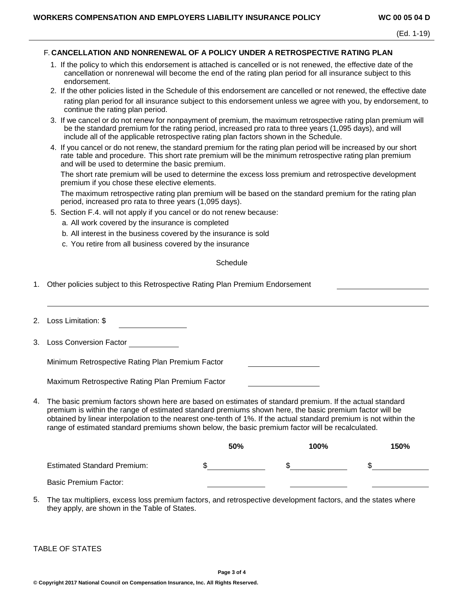#### F. **CANCELLATION AND NONRENEWAL OF A POLICY UNDER A RETROSPECTIVE RATING PLAN**

- 1. If the policy to which this endorsement is attached is cancelled or is not renewed, the effective date of the cancellation or nonrenewal will become the end of the rating plan period for all insurance subject to this endorsement.
- 2. If the other policies listed in the Schedule of this endorsement are cancelled or not renewed, the effective date rating plan period for all insurance subject to this endorsement unless we agree with you, by endorsement, to continue the rating plan period.
- 3. If we cancel or do not renew for nonpayment of premium, the maximum retrospective rating plan premium will be the standard premium for the rating period, increased pro rata to three years (1,095 days), and will include all of the applicable retrospective rating plan factors shown in the Schedule.
- 4. If you cancel or do not renew, the standard premium for the rating plan period will be increased by our short rate table and procedure. This short rate premium will be the minimum retrospective rating plan premium and will be used to determine the basic premium.

The short rate premium will be used to determine the excess loss premium and retrospective development premium if you chose these elective elements.

The maximum retrospective rating plan premium will be based on the standard premium for the rating plan period, increased pro rata to three years (1,095 days).

5. Section F.4. will not apply if you cancel or do not renew because:

a. All work covered by the insurance is completed

- b. All interest in the business covered by the insurance is sold
- c. You retire from all business covered by the insurance

#### **Schedule**

1. Other policies subject to this Retrospective Rating Plan Premium Endorsement

2. Loss Limitation: \$

3. Loss Conversion Factor

Minimum Retrospective Rating Plan Premium Factor

Maximum Retrospective Rating Plan Premium Factor

4. The basic premium factors shown here are based on estimates of standard premium. If the actual standard premium is within the range of estimated standard premiums shown here, the basic premium factor will be obtained by linear interpolation to the nearest one-tenth of 1%. If the actual standard premium is not within the range of estimated standard premiums shown below, the basic premium factor will be recalculated.

|                                    | 50% | 100% | 150% |
|------------------------------------|-----|------|------|
| <b>Estimated Standard Premium:</b> |     |      |      |
| <b>Basic Premium Factor:</b>       |     |      |      |

5. The tax multipliers, excess loss premium factors, and retrospective development factors, and the states where they apply, are shown in the Table of States.